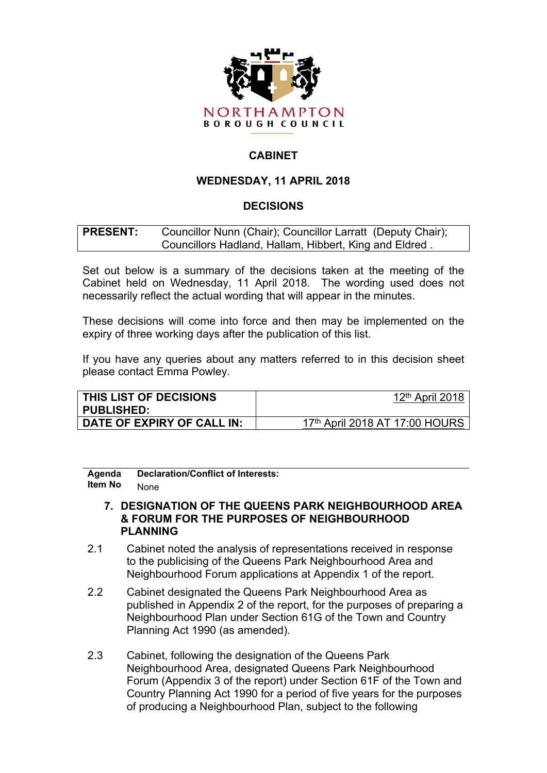

# **CABINET**

# **WEDNESDAY, 11 APRIL 2018**

# **DECISIONS**

## **PRESENT:** Councillor Nunn (Chair); Councillor Larratt (Deputy Chair); Councillors Hadland, Hallam, Hibbert, King and Eldred .

Set out below is a summary of the decisions taken at the meeting of the Cabinet held on Wednesday, 11 April 2018. The wording used does not necessarily reflect the actual wording that will appear in the minutes.

These decisions will come into force and then may be implemented on the expiry of three working days after the publication of this list.

If you have any queries about any matters referred to in this decision sheet please contact Emma Powley.

| THIS LIST OF DECISIONS<br><b>PUBLISHED:</b> | 12 <sup>th</sup> April 2018    |
|---------------------------------------------|--------------------------------|
| DATE OF EXPIRY OF CALL IN:                  | 17th April 2018 AT 17:00 HOURS |

**Agenda Item No Declaration/Conflict of Interests:** None

#### **7. DESIGNATION OF THE QUEENS PARK NEIGHBOURHOOD AREA & FORUM FOR THE PURPOSES OF NEIGHBOURHOOD PLANNING**

- 2.1 Cabinet noted the analysis of representations received in response to the publicising of the Queens Park Neighbourhood Area and Neighbourhood Forum applications at Appendix 1 of the report.
- 2.2 Cabinet designated the Queens Park Neighbourhood Area as published in Appendix 2 of the report, for the purposes of preparing a Neighbourhood Plan under Section 61G of the Town and Country Planning Act 1990 (as amended).
- 2.3 Cabinet, following the designation of the Queens Park Neighbourhood Area, designated Queens Park Neighbourhood Forum (Appendix 3 of the report) under Section 61F of the Town and Country Planning Act 1990 for a period of five years for the purposes of producing a Neighbourhood Plan, subject to the following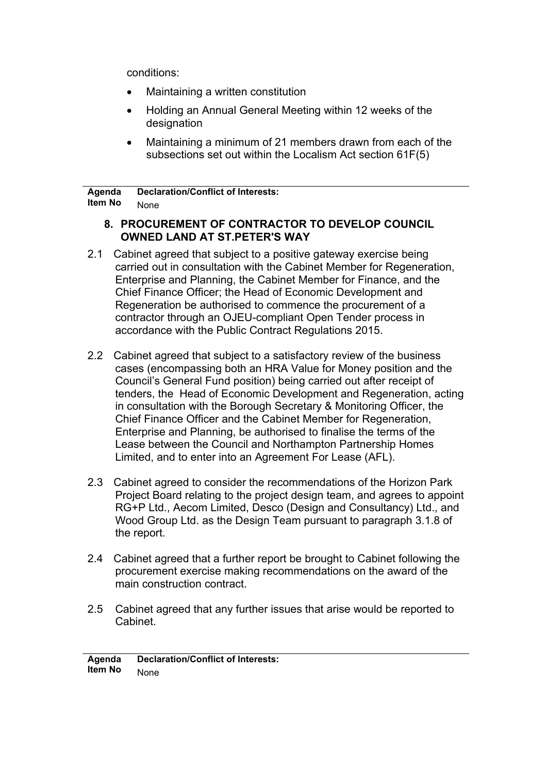conditions:

- Maintaining a written constitution
- Holding an Annual General Meeting within 12 weeks of the designation
- Maintaining a minimum of 21 members drawn from each of the subsections set out within the Localism Act section 61F(5)

**Agenda Item No Declaration/Conflict of Interests:** None

## **8. PROCUREMENT OF CONTRACTOR TO DEVELOP COUNCIL OWNED LAND AT ST.PETER'S WAY**

- 2.1 Cabinet agreed that subject to a positive gateway exercise being carried out in consultation with the Cabinet Member for Regeneration, Enterprise and Planning, the Cabinet Member for Finance, and the Chief Finance Officer; the Head of Economic Development and Regeneration be authorised to commence the procurement of a contractor through an OJEU-compliant Open Tender process in accordance with the Public Contract Regulations 2015.
- 2.2 Cabinet agreed that subject to a satisfactory review of the business cases (encompassing both an HRA Value for Money position and the Council's General Fund position) being carried out after receipt of tenders, the Head of Economic Development and Regeneration, acting in consultation with the Borough Secretary & Monitoring Officer, the Chief Finance Officer and the Cabinet Member for Regeneration, Enterprise and Planning, be authorised to finalise the terms of the Lease between the Council and Northampton Partnership Homes Limited, and to enter into an Agreement For Lease (AFL).
- 2.3 Cabinet agreed to consider the recommendations of the Horizon Park Project Board relating to the project design team, and agrees to appoint RG+P Ltd., Aecom Limited, Desco (Design and Consultancy) Ltd., and Wood Group Ltd. as the Design Team pursuant to paragraph 3.1.8 of the report.
- 2.4 Cabinet agreed that a further report be brought to Cabinet following the procurement exercise making recommendations on the award of the main construction contract.
- 2.5 Cabinet agreed that any further issues that arise would be reported to Cabinet.